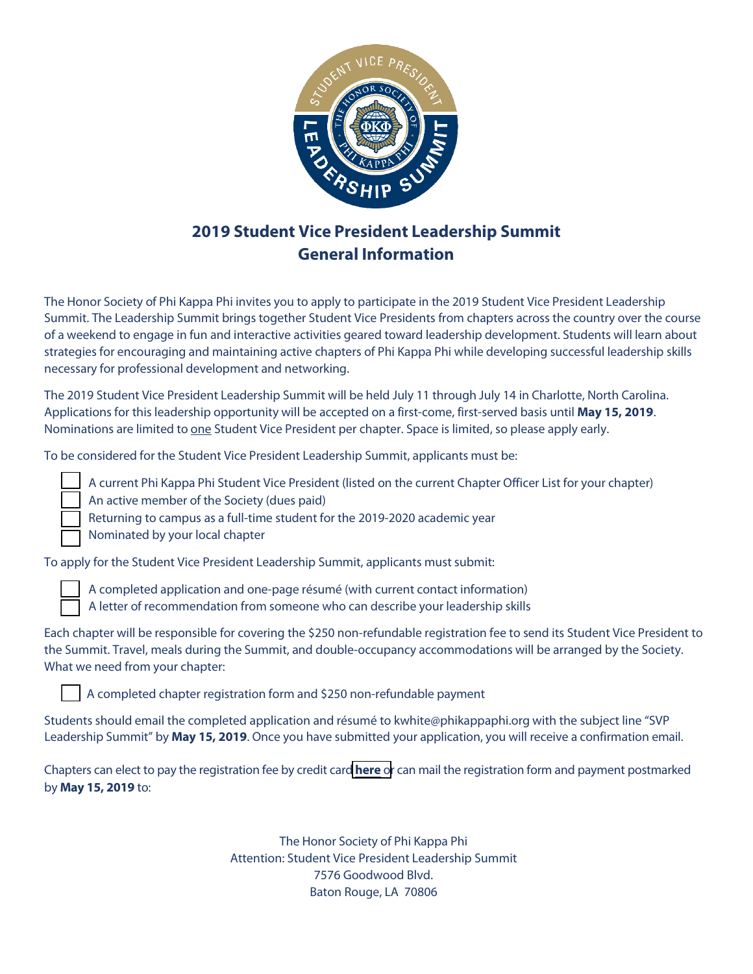

# **2019 Student Vice President Leadership Summit General Information**

The Honor Society of Phi Kappa Phi invites you to apply to participate in the 2019 Student Vice President Leadership Summit. The Leadership Summit brings together Student Vice Presidents from chapters across the country over the course of a weekend to engage in fun and interactive activities geared toward leadership development. Students will learn about strategies for encouraging and maintaining active chapters of Phi Kappa Phi while developing successful leadership skills necessary for professional development and networking.

The 2019 Student Vice President Leadership Summit will be held July 11 through July 14 in Charlotte, North Carolina. Applications for this leadership opportunity will be accepted on a first-come, first-served basis until **May 15, 2019**. Nominations are limited to one Student Vice President per chapter. Space is limited, so please apply early.

To be considered for the Student Vice President Leadership Summit, applicants must be:

 A current Phi Kappa Phi Student Vice President (listed on the current Chapter Officer List for your chapter) An active member of the Society (dues paid)

Returning to campus as a full-time student for the 2019-2020 academic year

Nominated by your local chapter

To apply for the Student Vice President Leadership Summit, applicants must submit:

A completed application and one-page résumé (with current contact information)

A letter of recommendation from someone who can describe your leadership skills

Each chapter will be responsible for covering the \$250 non-refundable registration fee to send its Student Vice President to the Summit. Travel, meals during the Summit, and double-occupancy accommodations will be arranged by the Society. What we need from your chapter:

A completed chapter registration form and \$250 non-refundable payment

Students should email the completed application and résumé to kwhite@phikappaphi.org with the subject line "SVP Leadership Summit" by **May 15, 2019**. Once you have submitted your application, you will receive a confirmation email.

Chapters can elect to pay the registration fee by credit card **[here](https://members.phikappaphi.org/SLS/registration)** or can mail the registration form and payment postmarked by **May 15, 2019** to:

> The Honor Society of Phi Kappa Phi Attention: Student Vice President Leadership Summit 7576 Goodwood Blvd. Baton Rouge, LA 70806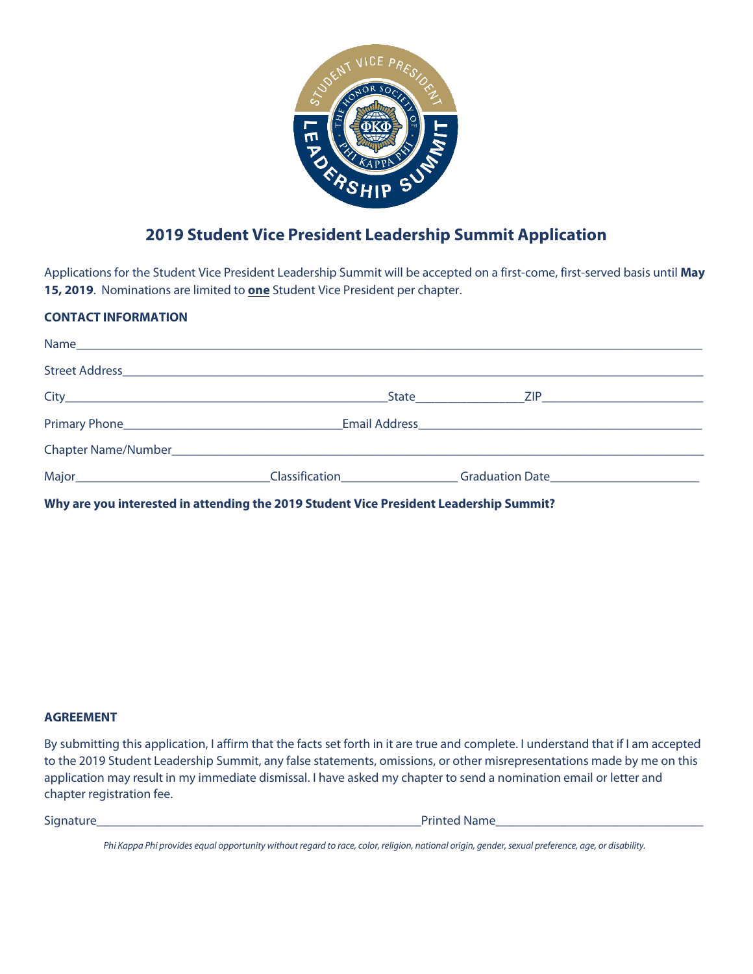

## **2019 Student Vice President Leadership Summit Application**

Applications for the Student Vice President Leadership Summit will be accepted on a first-come, first-served basis until **May 15, 2019**. Nominations are limited to **one** Student Vice President per chapter.

### **CONTACT INFORMATION**

|                                                                                                               | State ZIP ZIP   |  |
|---------------------------------------------------------------------------------------------------------------|-----------------|--|
|                                                                                                               |                 |  |
| Chapter Name/Number 2008 and 2009 and 2009 and 2009 and 2009 and 2009 and 2009 and 2009 and 2009 and 2009 and |                 |  |
| <b>Classification</b>                                                                                         | Graduation Date |  |

**Why are you interested in attending the 2019 Student Vice President Leadership Summit?** 

#### **AGREEMENT**

By submitting this application, I affirm that the facts set forth in it are true and complete. I understand that if I am accepted to the 2019 Student Leadership Summit, any false statements, omissions, or other misrepresentations made by me on this application may result in my immediate dismissal. I have asked my chapter to send a nomination email or letter and chapter registration fee.

| Signature | P                         |
|-----------|---------------------------|
|           | <b>Name</b><br>ted<br>чик |
|           |                           |
|           |                           |

*Phi Kappa Phi provides equal opportunity without regard to race, color, religion, national origin, gender, sexual preference, age, or disability.*